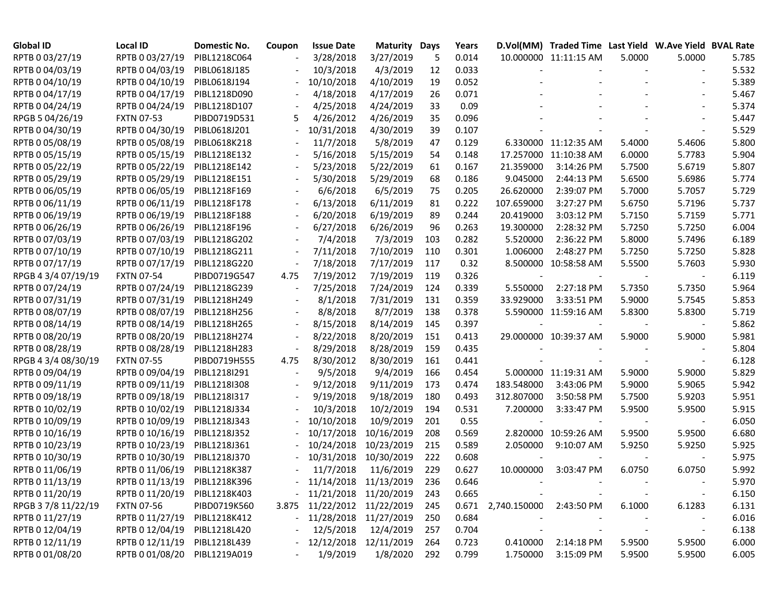| <b>Global ID</b>    | Local ID                     | Domestic No. | Coupon                   | <b>Issue Date</b>           | <b>Maturity Days</b> |     | Years |                               | D.Vol(MM) Traded Time Last Yield W.Ave Yield BVAL Rate |        |                          |       |
|---------------------|------------------------------|--------------|--------------------------|-----------------------------|----------------------|-----|-------|-------------------------------|--------------------------------------------------------|--------|--------------------------|-------|
| RPTB 0 03/27/19     | RPTB 0 03/27/19              | PIBL1218C064 |                          | 3/28/2018                   | 3/27/2019            | 5   | 0.014 |                               | 10.000000 11:11:15 AM                                  | 5.0000 | 5.0000                   | 5.785 |
| RPTB 0 04/03/19     | RPTB 0 04/03/19              | PIBL0618J185 |                          | 10/3/2018                   | 4/3/2019             | 12  | 0.033 |                               |                                                        |        |                          | 5.532 |
| RPTB 0 04/10/19     | RPTB 0 04/10/19              | PIBL0618J194 |                          | 10/10/2018                  | 4/10/2019            | 19  | 0.052 |                               |                                                        |        |                          | 5.389 |
| RPTB 0 04/17/19     | RPTB 0 04/17/19              | PIBL1218D090 |                          | 4/18/2018                   | 4/17/2019            | 26  | 0.071 |                               |                                                        |        |                          | 5.467 |
| RPTB 0 04/24/19     | RPTB 0 04/24/19              | PIBL1218D107 |                          | 4/25/2018                   | 4/24/2019            | 33  | 0.09  |                               |                                                        |        |                          | 5.374 |
| RPGB 5 04/26/19     | <b>FXTN 07-53</b>            | PIBD0719D531 | 5                        | 4/26/2012                   | 4/26/2019            | 35  | 0.096 |                               |                                                        |        |                          | 5.447 |
| RPTB 0 04/30/19     | RPTB 0 04/30/19              | PIBL0618J201 |                          | 10/31/2018                  | 4/30/2019            | 39  | 0.107 |                               |                                                        |        |                          | 5.529 |
| RPTB 0 05/08/19     | RPTB 0 05/08/19              | PIBL0618K218 |                          | 11/7/2018                   | 5/8/2019             | 47  | 0.129 |                               | 6.330000 11:12:35 AM                                   | 5.4000 | 5.4606                   | 5.800 |
| RPTB 0 05/15/19     | RPTB 0 05/15/19              | PIBL1218E132 |                          | 5/16/2018                   | 5/15/2019            | 54  | 0.148 |                               | 17.257000 11:10:38 AM                                  | 6.0000 | 5.7783                   | 5.904 |
| RPTB 0 05/22/19     | RPTB 0 05/22/19              | PIBL1218E142 |                          | 5/23/2018                   | 5/22/2019            | 61  | 0.167 | 21.359000                     | 3:14:26 PM                                             | 5.7500 | 5.6719                   | 5.807 |
| RPTB 0 05/29/19     | RPTB 0 05/29/19              | PIBL1218E151 |                          | 5/30/2018                   | 5/29/2019            | 68  | 0.186 | 9.045000                      | 2:44:13 PM                                             | 5.6500 | 5.6986                   | 5.774 |
| RPTB 0 06/05/19     | RPTB 0 06/05/19              | PIBL1218F169 |                          | 6/6/2018                    | 6/5/2019             | 75  | 0.205 | 26.620000                     | 2:39:07 PM                                             | 5.7000 | 5.7057                   | 5.729 |
| RPTB 0 06/11/19     | RPTB 0 06/11/19              | PIBL1218F178 |                          | 6/13/2018                   | 6/11/2019            | 81  | 0.222 | 107.659000                    | 3:27:27 PM                                             | 5.6750 | 5.7196                   | 5.737 |
| RPTB 0 06/19/19     | RPTB 0 06/19/19              | PIBL1218F188 |                          | 6/20/2018                   | 6/19/2019            | 89  | 0.244 | 20.419000                     | 3:03:12 PM                                             | 5.7150 | 5.7159                   | 5.771 |
| RPTB 0 06/26/19     | RPTB 0 06/26/19              | PIBL1218F196 |                          | 6/27/2018                   | 6/26/2019            | 96  | 0.263 | 19.300000                     | 2:28:32 PM                                             | 5.7250 | 5.7250                   | 6.004 |
| RPTB 0 07/03/19     | RPTB 0 07/03/19              | PIBL1218G202 |                          | 7/4/2018                    | 7/3/2019             | 103 | 0.282 | 5.520000                      | 2:36:22 PM                                             | 5.8000 | 5.7496                   | 6.189 |
| RPTB 0 07/10/19     | RPTB 0 07/10/19              | PIBL1218G211 |                          | 7/11/2018                   | 7/10/2019            | 110 | 0.301 | 1.006000                      | 2:48:27 PM                                             | 5.7250 | 5.7250                   | 5.828 |
| RPTB 0 07/17/19     | RPTB 0 07/17/19              | PIBL1218G220 |                          | 7/18/2018                   | 7/17/2019            | 117 | 0.32  |                               | 8.500000 10:58:58 AM                                   | 5.5500 | 5.7603                   | 5.930 |
| RPGB 4 3/4 07/19/19 | <b>FXTN 07-54</b>            | PIBD0719G547 | 4.75                     | 7/19/2012                   | 7/19/2019            | 119 | 0.326 |                               |                                                        |        |                          | 6.119 |
| RPTB 0 07/24/19     | RPTB 0 07/24/19              | PIBL1218G239 |                          | 7/25/2018                   | 7/24/2019            | 124 | 0.339 | 5.550000                      | 2:27:18 PM                                             | 5.7350 | 5.7350                   | 5.964 |
| RPTB 0 07/31/19     | RPTB 0 07/31/19              | PIBL1218H249 |                          | 8/1/2018                    | 7/31/2019            | 131 | 0.359 | 33.929000                     | 3:33:51 PM                                             | 5.9000 | 5.7545                   | 5.853 |
| RPTB 0 08/07/19     | RPTB 0 08/07/19              | PIBL1218H256 | $\overline{\phantom{a}}$ | 8/8/2018                    | 8/7/2019             | 138 | 0.378 |                               | 5.590000 11:59:16 AM                                   | 5.8300 | 5.8300                   | 5.719 |
| RPTB 0 08/14/19     | RPTB 0 08/14/19              | PIBL1218H265 | $\overline{\phantom{a}}$ | 8/15/2018                   | 8/14/2019            | 145 | 0.397 |                               | $\overline{\phantom{a}}$                               |        |                          | 5.862 |
| RPTB 0 08/20/19     | RPTB 0 08/20/19              | PIBL1218H274 |                          | 8/22/2018                   | 8/20/2019            | 151 | 0.413 |                               | 29.000000 10:39:37 AM                                  | 5.9000 | 5.9000                   | 5.981 |
| RPTB 0 08/28/19     | RPTB 0 08/28/19              | PIBL1218H283 |                          | 8/29/2018                   | 8/28/2019            | 159 | 0.435 |                               |                                                        |        |                          | 5.804 |
| RPGB 4 3/4 08/30/19 | <b>FXTN 07-55</b>            | PIBD0719H555 | 4.75                     | 8/30/2012                   | 8/30/2019            | 161 | 0.441 |                               |                                                        |        |                          | 6.128 |
| RPTB 0 09/04/19     | RPTB 0 09/04/19              | PIBL1218I291 |                          | 9/5/2018                    | 9/4/2019             | 166 | 0.454 |                               | 5.000000 11:19:31 AM                                   | 5.9000 | 5.9000                   | 5.829 |
| RPTB 0 09/11/19     | RPTB 0 09/11/19              | PIBL1218I308 |                          | 9/12/2018                   | 9/11/2019            | 173 | 0.474 | 183.548000                    | 3:43:06 PM                                             | 5.9000 | 5.9065                   | 5.942 |
| RPTB 0 09/18/19     | RPTB 0 09/18/19              | PIBL1218I317 |                          | 9/19/2018                   | 9/18/2019            | 180 | 0.493 | 312.807000                    | 3:50:58 PM                                             | 5.7500 | 5.9203                   | 5.951 |
| RPTB 0 10/02/19     | RPTB 0 10/02/19              | PIBL1218J334 |                          | 10/3/2018                   | 10/2/2019            | 194 | 0.531 | 7.200000                      | 3:33:47 PM                                             | 5.9500 | 5.9500                   | 5.915 |
| RPTB 0 10/09/19     | RPTB 0 10/09/19              | PIBL1218J343 |                          | 10/10/2018                  | 10/9/2019            | 201 | 0.55  |                               |                                                        |        |                          | 6.050 |
| RPTB 0 10/16/19     | RPTB 0 10/16/19              | PIBL1218J352 |                          | 10/17/2018                  | 10/16/2019           | 208 | 0.569 |                               | 2.820000 10:59:26 AM                                   | 5.9500 | 5.9500                   | 6.680 |
| RPTB 0 10/23/19     | RPTB 0 10/23/19              | PIBL1218J361 |                          | 10/24/2018                  | 10/23/2019           | 215 | 0.589 | 2.050000                      | 9:10:07 AM                                             | 5.9250 | 5.9250                   | 5.925 |
| RPTB 0 10/30/19     | RPTB 0 10/30/19              | PIBL1218J370 |                          | 10/31/2018                  | 10/30/2019           | 222 | 0.608 |                               |                                                        |        |                          | 5.975 |
| RPTB 0 11/06/19     | RPTB 0 11/06/19              | PIBL1218K387 |                          | 11/7/2018                   | 11/6/2019            | 229 | 0.627 | 10.000000                     | 3:03:47 PM                                             | 6.0750 | 6.0750                   | 5.992 |
| RPTB 0 11/13/19     | RPTB 0 11/13/19              | PIBL1218K396 |                          | - 11/14/2018 11/13/2019     |                      | 236 | 0.646 |                               |                                                        |        |                          | 5.970 |
| RPTB 0 11/20/19     | RPTB 0 11/20/19 PIBL1218K403 |              |                          | $-11/21/2018$ $11/20/2019$  |                      | 243 | 0.665 |                               |                                                        |        |                          | 6.150 |
| RPGB 37/8 11/22/19  | <b>FXTN 07-56</b>            | PIBD0719K560 |                          | 3.875 11/22/2012 11/22/2019 |                      | 245 |       | 0.671 2,740.150000 2:43:50 PM |                                                        | 6.1000 | 6.1283                   | 6.131 |
| RPTB 0 11/27/19     | RPTB 0 11/27/19 PIBL1218K412 |              |                          | $-11/28/2018$ $11/27/2019$  |                      | 250 | 0.684 |                               |                                                        |        | $\overline{\phantom{a}}$ | 6.016 |
| RPTB 0 12/04/19     | RPTB 0 12/04/19              | PIBL1218L420 |                          | 12/5/2018                   | 12/4/2019            | 257 | 0.704 | $\overline{a}$                |                                                        |        |                          | 6.138 |
| RPTB 0 12/11/19     | RPTB 0 12/11/19              | PIBL1218L439 |                          | $-12/12/2018$ $12/11/2019$  |                      | 264 | 0.723 |                               | 0.410000 2:14:18 PM                                    | 5.9500 | 5.9500                   | 6.000 |
| RPTB 0 01/08/20     | RPTB 0 01/08/20 PIBL1219A019 |              |                          | 1/9/2019                    | 1/8/2020             | 292 | 0.799 | 1.750000                      | 3:15:09 PM                                             | 5.9500 | 5.9500                   | 6.005 |
|                     |                              |              |                          |                             |                      |     |       |                               |                                                        |        |                          |       |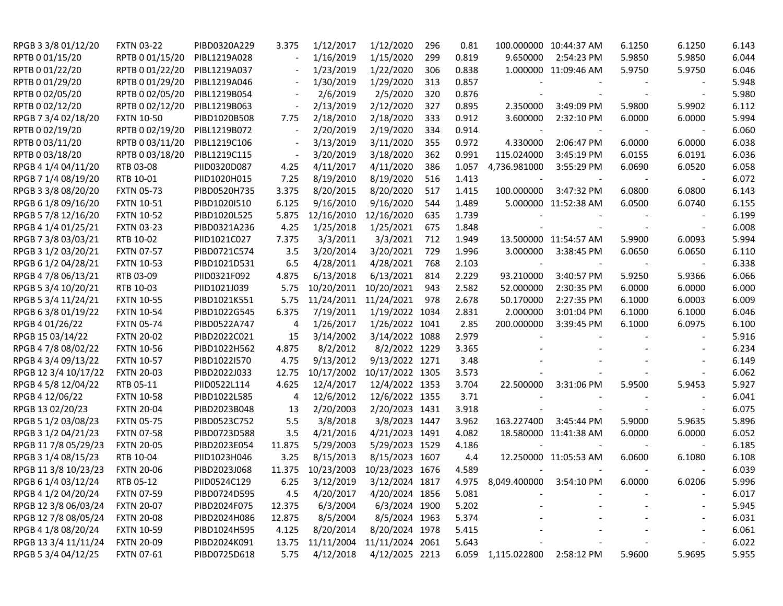| RPGB 3 3/8 01/12/20  | <b>FXTN 03-22</b> | PIBD0320A229 | 3.375  | 1/12/2017  | 1/12/2020       | 296 | 0.81  |                          | 100.000000 10:44:37 AM   | 6.1250 | 6.1250 | 6.143 |
|----------------------|-------------------|--------------|--------|------------|-----------------|-----|-------|--------------------------|--------------------------|--------|--------|-------|
| RPTB 0 01/15/20      | RPTB 0 01/15/20   | PIBL1219A028 |        | 1/16/2019  | 1/15/2020       | 299 | 0.819 | 9.650000                 | 2:54:23 PM               | 5.9850 | 5.9850 | 6.044 |
| RPTB 0 01/22/20      | RPTB 0 01/22/20   | PIBL1219A037 |        | 1/23/2019  | 1/22/2020       | 306 | 0.838 |                          | 1.000000 11:09:46 AM     | 5.9750 | 5.9750 | 6.046 |
| RPTB 0 01/29/20      | RPTB 0 01/29/20   | PIBL1219A046 |        | 1/30/2019  | 1/29/2020       | 313 | 0.857 |                          |                          |        |        | 5.948 |
| RPTB 0 02/05/20      | RPTB 0 02/05/20   | PIBL1219B054 |        | 2/6/2019   | 2/5/2020        | 320 | 0.876 |                          |                          |        |        | 5.980 |
| RPTB 0 02/12/20      | RPTB 0 02/12/20   | PIBL1219B063 |        | 2/13/2019  | 2/12/2020       | 327 | 0.895 | 2.350000                 | 3:49:09 PM               | 5.9800 | 5.9902 | 6.112 |
| RPGB 7 3/4 02/18/20  | <b>FXTN 10-50</b> | PIBD1020B508 | 7.75   | 2/18/2010  | 2/18/2020       | 333 | 0.912 | 3.600000                 | 2:32:10 PM               | 6.0000 | 6.0000 | 5.994 |
| RPTB 0 02/19/20      | RPTB 0 02/19/20   | PIBL1219B072 |        | 2/20/2019  | 2/19/2020       | 334 | 0.914 |                          |                          |        |        | 6.060 |
| RPTB 0 03/11/20      | RPTB 0 03/11/20   | PIBL1219C106 |        | 3/13/2019  | 3/11/2020       | 355 | 0.972 | 4.330000                 | 2:06:47 PM               | 6.0000 | 6.0000 | 6.038 |
| RPTB 0 03/18/20      | RPTB 0 03/18/20   | PIBL1219C115 |        | 3/20/2019  | 3/18/2020       | 362 | 0.991 | 115.024000               | 3:45:19 PM               | 6.0155 | 6.0191 | 6.036 |
| RPGB 4 1/4 04/11/20  | RTB 03-08         | PIID0320D087 | 4.25   | 4/11/2017  | 4/11/2020       | 386 | 1.057 | 4,736.981000             | 3:55:29 PM               | 6.0690 | 6.0520 | 6.058 |
| RPGB 7 1/4 08/19/20  | RTB 10-01         | PIID1020H015 | 7.25   | 8/19/2010  | 8/19/2020       | 516 | 1.413 |                          |                          |        |        | 6.072 |
| RPGB 3 3/8 08/20/20  | <b>FXTN 05-73</b> | PIBD0520H735 | 3.375  | 8/20/2015  | 8/20/2020       | 517 | 1.415 | 100.000000               | 3:47:32 PM               | 6.0800 | 6.0800 | 6.143 |
| RPGB 6 1/8 09/16/20  | <b>FXTN 10-51</b> | PIBD1020I510 | 6.125  | 9/16/2010  | 9/16/2020       | 544 | 1.489 |                          | 5.000000 11:52:38 AM     | 6.0500 | 6.0740 | 6.155 |
| RPGB 5 7/8 12/16/20  | <b>FXTN 10-52</b> | PIBD1020L525 | 5.875  | 12/16/2010 | 12/16/2020      | 635 | 1.739 |                          |                          |        |        | 6.199 |
| RPGB 4 1/4 01/25/21  | <b>FXTN 03-23</b> | PIBD0321A236 | 4.25   | 1/25/2018  | 1/25/2021       | 675 | 1.848 |                          |                          |        |        | 6.008 |
| RPGB 7 3/8 03/03/21  | RTB 10-02         | PIID1021C027 | 7.375  | 3/3/2011   | 3/3/2021        | 712 | 1.949 |                          | 13.500000 11:54:57 AM    | 5.9900 | 6.0093 | 5.994 |
| RPGB 3 1/2 03/20/21  | <b>FXTN 07-57</b> | PIBD0721C574 | 3.5    | 3/20/2014  | 3/20/2021       | 729 | 1.996 | 3.000000                 | 3:38:45 PM               | 6.0650 | 6.0650 | 6.110 |
| RPGB 6 1/2 04/28/21  | <b>FXTN 10-53</b> | PIBD1021D531 | 6.5    | 4/28/2011  | 4/28/2021       | 768 | 2.103 | $\overline{\phantom{a}}$ | $\overline{\phantom{a}}$ |        |        | 6.338 |
| RPGB 4 7/8 06/13/21  | RTB 03-09         | PIID0321F092 | 4.875  | 6/13/2018  | 6/13/2021       | 814 | 2.229 | 93.210000                | 3:40:57 PM               | 5.9250 | 5.9366 | 6.066 |
| RPGB 5 3/4 10/20/21  | RTB 10-03         | PIID1021J039 | 5.75   | 10/20/2011 | 10/20/2021      | 943 | 2.582 | 52.000000                | 2:30:35 PM               | 6.0000 | 6.0000 | 6.000 |
| RPGB 5 3/4 11/24/21  | <b>FXTN 10-55</b> | PIBD1021K551 | 5.75   | 11/24/2011 | 11/24/2021      | 978 | 2.678 | 50.170000                | 2:27:35 PM               | 6.1000 | 6.0003 | 6.009 |
| RPGB 63/8 01/19/22   | <b>FXTN 10-54</b> | PIBD1022G545 | 6.375  | 7/19/2011  | 1/19/2022 1034  |     | 2.831 | 2.000000                 | 3:01:04 PM               | 6.1000 | 6.1000 | 6.046 |
| RPGB 4 01/26/22      | <b>FXTN 05-74</b> | PIBD0522A747 | 4      | 1/26/2017  | 1/26/2022 1041  |     | 2.85  | 200.000000               | 3:39:45 PM               | 6.1000 | 6.0975 | 6.100 |
| RPGB 15 03/14/22     | <b>FXTN 20-02</b> | PIBD2022C021 | 15     | 3/14/2002  | 3/14/2022 1088  |     | 2.979 |                          |                          |        |        | 5.916 |
| RPGB 4 7/8 08/02/22  | <b>FXTN 10-56</b> | PIBD1022H562 | 4.875  | 8/2/2012   | 8/2/2022 1229   |     | 3.365 |                          |                          |        |        | 6.234 |
| RPGB 4 3/4 09/13/22  | <b>FXTN 10-57</b> | PIBD1022I570 | 4.75   | 9/13/2012  | 9/13/2022 1271  |     | 3.48  |                          |                          |        |        | 6.149 |
| RPGB 12 3/4 10/17/22 | <b>FXTN 20-03</b> | PIBD2022J033 | 12.75  | 10/17/2002 | 10/17/2022 1305 |     | 3.573 |                          |                          |        |        | 6.062 |
| RPGB 4 5/8 12/04/22  | RTB 05-11         | PIID0522L114 | 4.625  | 12/4/2017  | 12/4/2022 1353  |     | 3.704 | 22.500000                | 3:31:06 PM               | 5.9500 | 5.9453 | 5.927 |
| RPGB 4 12/06/22      | <b>FXTN 10-58</b> | PIBD1022L585 | 4      | 12/6/2012  | 12/6/2022 1355  |     | 3.71  |                          |                          |        |        | 6.041 |
| RPGB 13 02/20/23     | <b>FXTN 20-04</b> | PIBD2023B048 | 13     | 2/20/2003  | 2/20/2023 1431  |     | 3.918 |                          |                          |        |        | 6.075 |
| RPGB 5 1/2 03/08/23  | <b>FXTN 05-75</b> | PIBD0523C752 | 5.5    | 3/8/2018   | 3/8/2023 1447   |     | 3.962 | 163.227400               | 3:45:44 PM               | 5.9000 | 5.9635 | 5.896 |
| RPGB 3 1/2 04/21/23  | <b>FXTN 07-58</b> | PIBD0723D588 | 3.5    | 4/21/2016  | 4/21/2023 1491  |     | 4.082 |                          | 18.580000 11:41:38 AM    | 6.0000 | 6.0000 | 6.052 |
| RPGB 11 7/8 05/29/23 | <b>FXTN 20-05</b> | PIBD2023E054 | 11.875 | 5/29/2003  | 5/29/2023 1529  |     | 4.186 |                          |                          |        |        | 6.185 |
| RPGB 3 1/4 08/15/23  | RTB 10-04         | PIID1023H046 | 3.25   | 8/15/2013  | 8/15/2023 1607  |     | 4.4   |                          | 12.250000 11:05:53 AM    | 6.0600 | 6.1080 | 6.108 |
| RPGB 11 3/8 10/23/23 | <b>FXTN 20-06</b> | PIBD2023J068 | 11.375 | 10/23/2003 | 10/23/2023 1676 |     | 4.589 |                          |                          |        |        | 6.039 |
| RPGB 6 1/4 03/12/24  | RTB 05-12         | PIID0524C129 | 6.25   | 3/12/2019  | 3/12/2024 1817  |     | 4.975 | 8,049.400000 3:54:10 PM  |                          | 6.0000 | 6.0206 | 5.996 |
| RPGB 4 1/2 04/20/24  | <b>FXTN 07-59</b> | PIBD0724D595 | 4.5    | 4/20/2017  | 4/20/2024 1856  |     | 5.081 |                          |                          |        |        | 6.017 |
| RPGB 12 3/8 06/03/24 | <b>FXTN 20-07</b> | PIBD2024F075 | 12.375 | 6/3/2004   | 6/3/2024 1900   |     | 5.202 |                          |                          |        |        | 5.945 |
| RPGB 12 7/8 08/05/24 | <b>FXTN 20-08</b> | PIBD2024H086 | 12.875 | 8/5/2004   | 8/5/2024 1963   |     | 5.374 |                          |                          |        |        | 6.031 |
| RPGB 4 1/8 08/20/24  | <b>FXTN 10-59</b> | PIBD1024H595 | 4.125  | 8/20/2014  | 8/20/2024 1978  |     | 5.415 |                          |                          |        |        | 6.061 |
| RPGB 13 3/4 11/11/24 | <b>FXTN 20-09</b> | PIBD2024K091 | 13.75  | 11/11/2004 | 11/11/2024 2061 |     | 5.643 |                          |                          |        |        | 6.022 |
| RPGB 5 3/4 04/12/25  | <b>FXTN 07-61</b> | PIBD0725D618 | 5.75   | 4/12/2018  | 4/12/2025 2213  |     |       | 6.059 1,115.022800       | 2:58:12 PM               | 5.9600 | 5.9695 | 5.955 |
|                      |                   |              |        |            |                 |     |       |                          |                          |        |        |       |